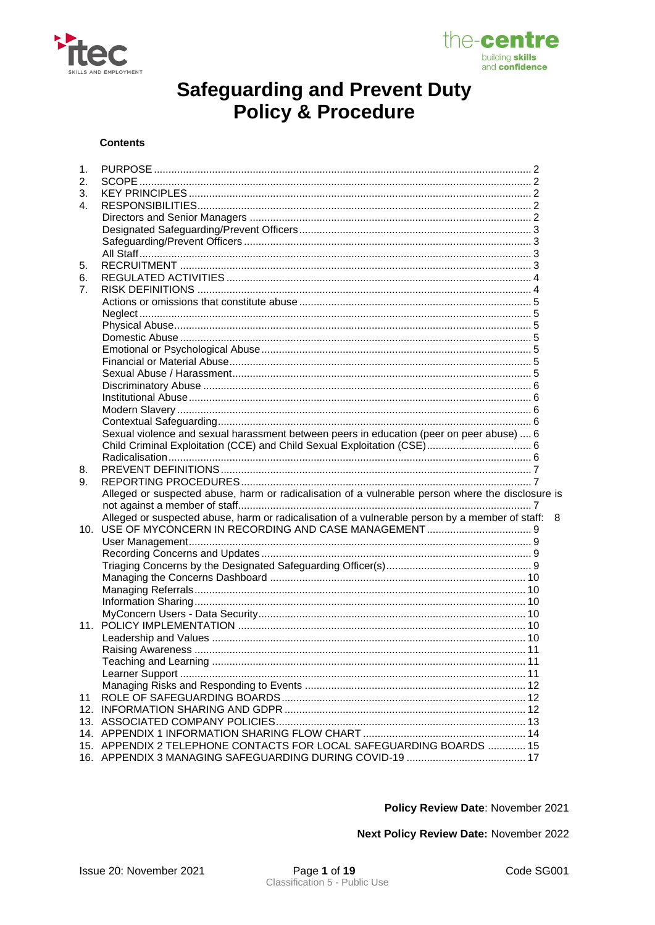



#### **Contents**

| 1.             |                                                                                                   |   |
|----------------|---------------------------------------------------------------------------------------------------|---|
| 2.             |                                                                                                   |   |
| 3.             |                                                                                                   |   |
| $\mathbf{4}$ . |                                                                                                   |   |
|                |                                                                                                   |   |
|                |                                                                                                   |   |
|                |                                                                                                   |   |
|                |                                                                                                   |   |
| 5.             |                                                                                                   |   |
| 6.             |                                                                                                   |   |
| 7 <sub>1</sub> |                                                                                                   |   |
|                |                                                                                                   |   |
|                |                                                                                                   |   |
|                |                                                                                                   |   |
|                |                                                                                                   |   |
|                |                                                                                                   |   |
|                |                                                                                                   |   |
|                |                                                                                                   |   |
|                |                                                                                                   |   |
|                |                                                                                                   |   |
|                |                                                                                                   |   |
|                |                                                                                                   |   |
|                | Sexual violence and sexual harassment between peers in education (peer on peer abuse)  6          |   |
|                | Child Criminal Exploitation (CCE) and Child Sexual Exploitation (CSE) 6                           |   |
|                |                                                                                                   |   |
| 8.             |                                                                                                   |   |
| 9.             |                                                                                                   |   |
|                | Alleged or suspected abuse, harm or radicalisation of a vulnerable person where the disclosure is |   |
|                |                                                                                                   |   |
|                | Alleged or suspected abuse, harm or radicalisation of a vulnerable person by a member of staff:   | 8 |
|                |                                                                                                   |   |
|                |                                                                                                   |   |
|                |                                                                                                   |   |
|                |                                                                                                   |   |
|                |                                                                                                   |   |
|                |                                                                                                   |   |
|                |                                                                                                   |   |
|                |                                                                                                   |   |
|                |                                                                                                   |   |
|                |                                                                                                   |   |
|                |                                                                                                   |   |
|                |                                                                                                   |   |
|                |                                                                                                   |   |
|                |                                                                                                   |   |
| 11             |                                                                                                   |   |
|                |                                                                                                   |   |
|                |                                                                                                   |   |
|                |                                                                                                   |   |
|                | 15. APPENDIX 2 TELEPHONE CONTACTS FOR LOCAL SAFEGUARDING BOARDS  15                               |   |
|                |                                                                                                   |   |
|                |                                                                                                   |   |

Policy Review Date: November 2021

Next Policy Review Date: November 2022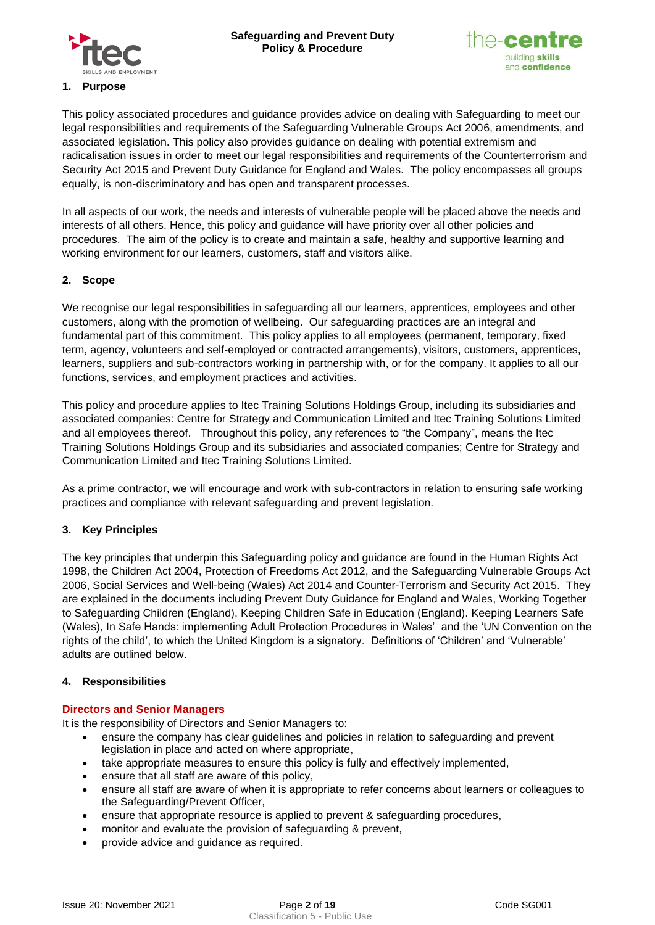



# <span id="page-1-0"></span>This policy associated procedures and guidance provides advice on dealing with Safeguarding to meet our legal responsibilities and requirements of the Safeguarding Vulnerable Groups Act 2006, amendments, and associated legislation. This policy also provides guidance on dealing with potential extremism and radicalisation issues in order to meet our legal responsibilities and requirements of the Counterterrorism and Security Act 2015 and Prevent Duty Guidance for England and Wales. The policy encompasses all groups equally, is non-discriminatory and has open and transparent processes.

In all aspects of our work, the needs and interests of vulnerable people will be placed above the needs and interests of all others. Hence, this policy and guidance will have priority over all other policies and procedures. The aim of the policy is to create and maintain a safe, healthy and supportive learning and working environment for our learners, customers, staff and visitors alike.

# <span id="page-1-1"></span>**2. Scope**

We recognise our legal responsibilities in safeguarding all our learners, apprentices, employees and other customers, along with the promotion of wellbeing. Our safeguarding practices are an integral and fundamental part of this commitment. This policy applies to all employees (permanent, temporary, fixed term, agency, volunteers and self-employed or contracted arrangements), visitors, customers, apprentices, learners, suppliers and sub-contractors working in partnership with, or for the company. It applies to all our functions, services, and employment practices and activities.

This policy and procedure applies to Itec Training Solutions Holdings Group, including its subsidiaries and associated companies: Centre for Strategy and Communication Limited and Itec Training Solutions Limited and all employees thereof. Throughout this policy, any references to "the Company", means the Itec Training Solutions Holdings Group and its subsidiaries and associated companies; Centre for Strategy and Communication Limited and Itec Training Solutions Limited.

As a prime contractor, we will encourage and work with sub-contractors in relation to ensuring safe working practices and compliance with relevant safeguarding and prevent legislation.

## <span id="page-1-2"></span>**3. Key Principles**

The key principles that underpin this Safeguarding policy and guidance are found in the [Human Rights Act](http://www.legislation.gov.uk/ukpga/1998/42/contents)  [1998,](http://www.legislation.gov.uk/ukpga/1998/42/contents) [the Children Act 2004,](http://www.opsi.gov.uk/acts/acts2004/ukpga_20040031_en_1) Protection of Freedoms Act 2012, and the [Safeguarding Vulnerable Groups Act](http://www.opsi.gov.uk/acts/acts2006/pdf/ukpga_20060047_en.pdf)  [2006,](http://www.opsi.gov.uk/acts/acts2006/pdf/ukpga_20060047_en.pdf) [Social Services and Well-being \(Wales\) Act 2014](https://gov.wales/topics/health/socialcare/act/?skip=1&lang=en) and [Counter-Terrorism and Security Act 2015.](http://www.legislation.gov.uk/all?title=Counter-Terrorism%20and%20Security%20Act%202015) They are explained in the documents including [Prevent Duty Guidance for England and Wales,](https://www.gov.uk/government/publications/prevent-duty-guidance) [Working Together](https://gov.wales/topics/health/publications/socialcare/circular/nafwc1207/?lang=en)  [to Safeguarding Children](https://gov.wales/topics/health/publications/socialcare/circular/nafwc1207/?lang=en) (England), Keeping Children Safe in Education (England). [Keeping Learners Safe](https://beta.gov.wales/keeping-learners-safe) (Wales), [In Safe Hands: implementing Adult Protection Procedures in Wales'](http://wales.gov.uk/docrepos/40382/4038212/403821/403821/4038211/4038213/safe_hands.pdf?lang=en) and the ['UN Convention on the](http://www2.ohchr.org/english/law/crc.htm)  [rights of the child',](http://www2.ohchr.org/english/law/crc.htm) to which the United Kingdom is a signatory. Definitions of 'Children' and 'Vulnerable' adults are outlined below.

## <span id="page-1-3"></span>**4. Responsibilities**

## <span id="page-1-4"></span>**Directors and Senior Managers**

It is the responsibility of Directors and Senior Managers to:

- ensure the company has clear guidelines and policies in relation to safeguarding and prevent legislation in place and acted on where appropriate,
- take appropriate measures to ensure this policy is fully and effectively implemented,
- ensure that all staff are aware of this policy,
- ensure all staff are aware of when it is appropriate to refer concerns about learners or colleagues to the Safeguarding/Prevent Officer,
- ensure that appropriate resource is applied to prevent & safeguarding procedures,
- monitor and evaluate the provision of safeguarding & prevent,
- provide advice and guidance as required.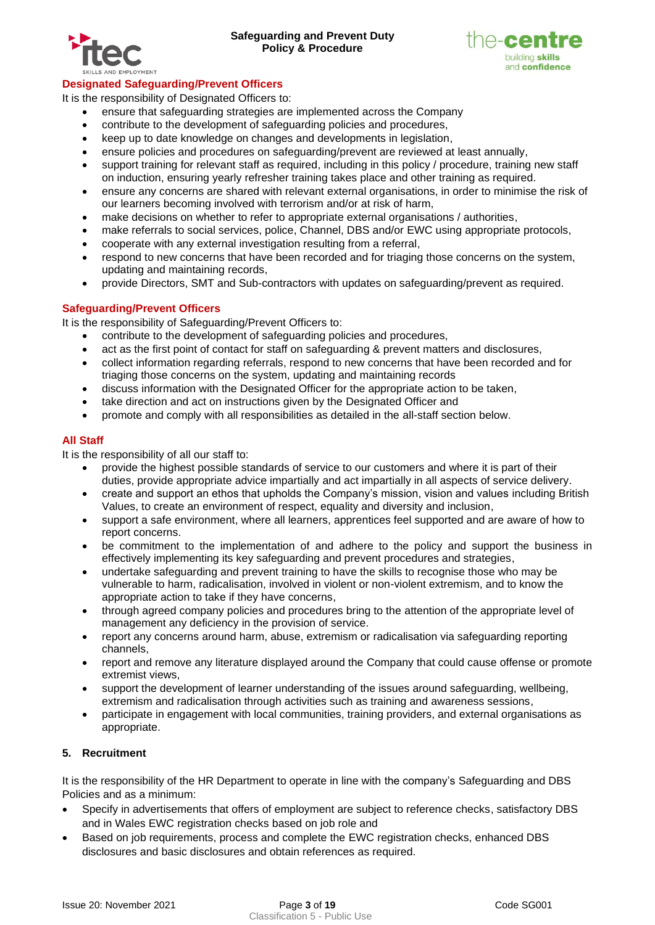



# <span id="page-2-0"></span>**Designated Safeguarding/Prevent Officers**

It is the responsibility of Designated Officers to:

- ensure that safeguarding strategies are implemented across the Company
- contribute to the development of safeguarding policies and procedures,
- keep up to date knowledge on changes and developments in legislation,
- ensure policies and procedures on safeguarding/prevent are reviewed at least annually,
- support training for relevant staff as required, including in this policy / procedure, training new staff on induction, ensuring yearly refresher training takes place and other training as required.
- ensure any concerns are shared with relevant external organisations, in order to minimise the risk of our learners becoming involved with terrorism and/or at risk of harm,
- make decisions on whether to refer to appropriate external organisations / authorities,
- make referrals to social services, police, Channel, DBS and/or EWC using appropriate protocols,
- cooperate with any external investigation resulting from a referral,
- respond to new concerns that have been recorded and for triaging those concerns on the system, updating and maintaining records,
- provide Directors, SMT and Sub-contractors with updates on safeguarding/prevent as required.

#### <span id="page-2-1"></span>**Safeguarding/Prevent Officers**

It is the responsibility of Safeguarding/Prevent Officers to:

- contribute to the development of safeguarding policies and procedures,
- act as the first point of contact for staff on safeguarding & prevent matters and disclosures,
- collect information regarding referrals, respond to new concerns that have been recorded and for triaging those concerns on the system, updating and maintaining records
- discuss information with the Designated Officer for the appropriate action to be taken,
- take direction and act on instructions given by the Designated Officer and
- promote and comply with all responsibilities as detailed in the all-staff section below.

#### <span id="page-2-2"></span>**All Staff**

It is the responsibility of all our staff to:

- provide the highest possible standards of service to our customers and where it is part of their duties, provide appropriate advice impartially and act impartially in all aspects of service delivery.
- create and support an ethos that upholds the Company's mission, vision and values including British Values, to create an environment of respect, equality and diversity and inclusion,
- support a safe environment, where all learners, apprentices feel supported and are aware of how to report concerns.
- be commitment to the implementation of and adhere to the policy and support the business in effectively implementing its key safeguarding and prevent procedures and strategies,
- undertake safeguarding and prevent training to have the skills to recognise those who may be vulnerable to harm, radicalisation, involved in violent or non-violent extremism, and to know the appropriate action to take if they have concerns,
- through agreed company policies and procedures bring to the attention of the appropriate level of management any deficiency in the provision of service.
- report any concerns around harm, abuse, extremism or radicalisation via safeguarding reporting channels,
- report and remove any literature displayed around the Company that could cause offense or promote extremist views,
- support the development of learner understanding of the issues around safeguarding, wellbeing, extremism and radicalisation through activities such as training and awareness sessions,
- participate in engagement with local communities, training providers, and external organisations as appropriate.

## <span id="page-2-3"></span>**5. Recruitment**

It is the responsibility of the HR Department to operate in line with the company's Safeguarding and DBS Policies and as a minimum:

- Specify in advertisements that offers of employment are subject to reference checks, satisfactory DBS and in Wales EWC registration checks based on job role and
- Based on job requirements, process and complete the EWC registration checks, enhanced DBS disclosures and basic disclosures and obtain references as required.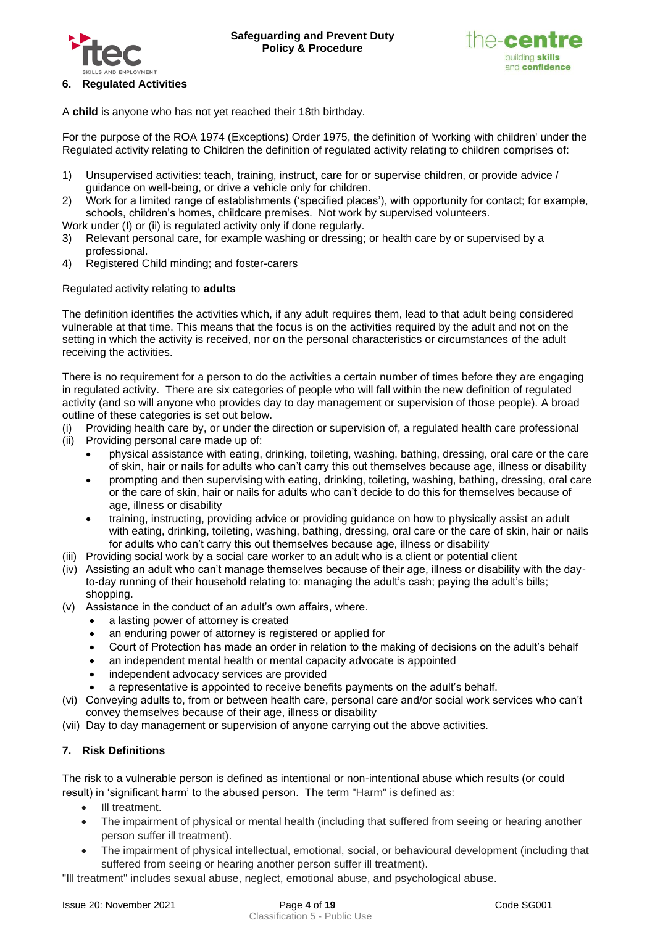



<span id="page-3-0"></span>A **child** is anyone who has not yet reached their 18th birthday.

For the purpose of the ROA 1974 (Exceptions) Order 1975, the definition of 'working with children' under the Regulated activity relating to Children the definition of regulated activity relating to children comprises of:

- 1) Unsupervised activities: teach, training, instruct, care for or supervise children, or provide advice / guidance on well-being, or drive a vehicle only for children.
- 2) Work for a limited range of establishments ('specified places'), with opportunity for contact; for example, schools, children's homes, childcare premises. Not work by supervised volunteers.
- Work under (I) or (ii) is regulated activity only if done regularly.
- 3) Relevant personal care, for example washing or dressing; or health care by or supervised by a professional.
- 4) Registered Child minding; and foster-carers

# Regulated activity relating to **adults**

The definition identifies the activities which, if any adult requires them, lead to that adult being considered vulnerable at that time. This means that the focus is on the activities required by the adult and not on the setting in which the activity is received, nor on the personal characteristics or circumstances of the adult receiving the activities.

There is no requirement for a person to do the activities a certain number of times before they are engaging in regulated activity. There are six categories of people who will fall within the new definition of regulated activity (and so will anyone who provides day to day management or supervision of those people). A broad outline of these categories is set out below.

- (i) Providing health care by, or under the direction or supervision of, a regulated health care professional
- (ii) Providing personal care made up of:
	- physical assistance with eating, drinking, toileting, washing, bathing, dressing, oral care or the care of skin, hair or nails for adults who can't carry this out themselves because age, illness or disability
	- prompting and then supervising with eating, drinking, toileting, washing, bathing, dressing, oral care or the care of skin, hair or nails for adults who can't decide to do this for themselves because of age, illness or disability
	- training, instructing, providing advice or providing guidance on how to physically assist an adult with eating, drinking, toileting, washing, bathing, dressing, oral care or the care of skin, hair or nails for adults who can't carry this out themselves because age, illness or disability
- (iii) Providing social work by a social care worker to an adult who is a client or potential client
- (iv) Assisting an adult who can't manage themselves because of their age, illness or disability with the dayto-day running of their household relating to: managing the adult's cash; paying the adult's bills; shopping.
- (v) Assistance in the conduct of an adult's own affairs, where.
	- a lasting power of attorney is created
	- an enduring power of attorney is registered or applied for
	- Court of Protection has made an order in relation to the making of decisions on the adult's behalf
	- an independent mental health or mental capacity advocate is appointed
	- independent advocacy services are provided
	- a representative is appointed to receive benefits payments on the adult's behalf.
- (vi) Conveying adults to, from or between health care, personal care and/or social work services who can't convey themselves because of their age, illness or disability
- (vii) Day to day management or supervision of anyone carrying out the above activities.

# <span id="page-3-1"></span>**7. Risk Definitions**

The risk to a vulnerable person is defined as intentional or non-intentional abuse which results (or could result) in 'significant harm' to the abused person. The term "Harm" is defined as:

- Ill treatment.
- The impairment of physical or mental health (including that suffered from seeing or hearing another person suffer ill treatment).
- The impairment of physical intellectual, emotional, social, or behavioural development (including that suffered from seeing or hearing another person suffer ill treatment).

"Ill treatment" includes sexual abuse, neglect, emotional abuse, and psychological abuse.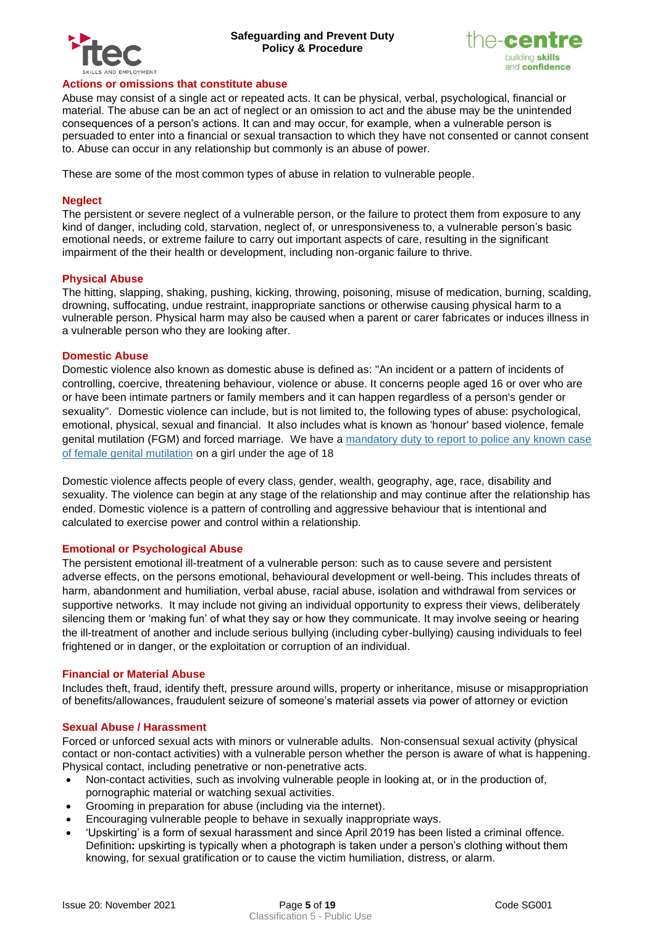



#### <span id="page-4-0"></span>**Actions or omissions that constitute abuse**

Abuse may consist of a single act or repeated acts. It can be physical, verbal, psychological, financial or material. The abuse can be an act of neglect or an omission to act and the abuse may be the unintended consequences of a person's actions. It can and may occur, for example, when a vulnerable person is persuaded to enter into a financial or sexual transaction to which they have not consented or cannot consent to. Abuse can occur in any relationship but commonly is an abuse of power.

These are some of the most common types of abuse in relation to vulnerable people.

#### <span id="page-4-1"></span>**Neglect**

The persistent or severe neglect of a vulnerable person, or the failure to protect them from exposure to any kind of danger, including cold, starvation, neglect of, or unresponsiveness to, a vulnerable person's basic emotional needs, or extreme failure to carry out important aspects of care, resulting in the significant impairment of the their health or development, including non-organic failure to thrive.

#### <span id="page-4-2"></span>**Physical Abuse**

The hitting, slapping, shaking, pushing, kicking, throwing, poisoning, misuse of medication, burning, scalding, drowning, suffocating, undue restraint, inappropriate sanctions or otherwise causing physical harm to a vulnerable person. Physical harm may also be caused when a parent or carer fabricates or induces illness in a vulnerable person who they are looking after.

#### <span id="page-4-3"></span>**Domestic Abuse**

Domestic violence also known as domestic abuse is defined as: "An incident or a pattern of incidents of controlling, coercive, threatening behaviour, violence or abuse. It concerns people aged 16 or over who are or have been intimate partners or family members and it can happen regardless of a person's gender or sexuality". Domestic violence can include, but is not limited to, the following types of abuse: psychological, emotional, physical, sexual and financial. It also includes what is known as 'honour' based violence, female genital mutilation (FGM) and forced marriage. We have a [mandatory duty to report to police any known case](https://www.gov.uk/government/publications/mandatory-reporting-of-female-genital-mutilation-procedural-information)  [of female genital mutilation](https://www.gov.uk/government/publications/mandatory-reporting-of-female-genital-mutilation-procedural-information) on a girl under the age of 18

Domestic violence affects people of every class, gender, wealth, geography, age, race, disability and sexuality. The violence can begin at any stage of the relationship and may continue after the relationship has ended. Domestic violence is a pattern of controlling and aggressive behaviour that is intentional and calculated to exercise power and control within a relationship.

#### <span id="page-4-4"></span>**Emotional or Psychological Abuse**

The persistent emotional ill-treatment of a vulnerable person: such as to cause severe and persistent adverse effects, on the persons emotional, behavioural development or well-being. This includes threats of harm, abandonment and humiliation, verbal abuse, racial abuse, isolation and withdrawal from services or supportive networks. It may include not giving an individual opportunity to express their views, deliberately silencing them or 'making fun' of what they say or how they communicate. It may involve seeing or hearing the ill-treatment of another and include serious bullying (including cyber-bullying) causing individuals to feel frightened or in danger, or the exploitation or corruption of an individual.

#### <span id="page-4-5"></span>**Financial or Material Abuse**

Includes theft, fraud, identify theft, pressure around wills, property or inheritance, misuse or misappropriation of benefits/allowances, fraudulent seizure of someone's material assets via power of attorney or eviction

#### <span id="page-4-6"></span>**Sexual Abuse / Harassment**

Forced or unforced sexual acts with minors or vulnerable adults. Non-consensual sexual activity (physical contact or non-contact activities) with a vulnerable person whether the person is aware of what is happening. Physical contact, including penetrative or non-penetrative acts.

- Non-contact activities, such as involving vulnerable people in looking at, or in the production of, pornographic material or watching sexual activities.
- Grooming in preparation for abuse (including via the internet).
- Encouraging vulnerable people to behave in sexually inappropriate ways.
- 'Upskirting' is a form of sexual harassment and since April 2019 has been listed a criminal offence. Definition**:** upskirting is typically when a photograph is taken under a person's clothing without them knowing, for sexual gratification or to cause the victim humiliation, distress, or alarm.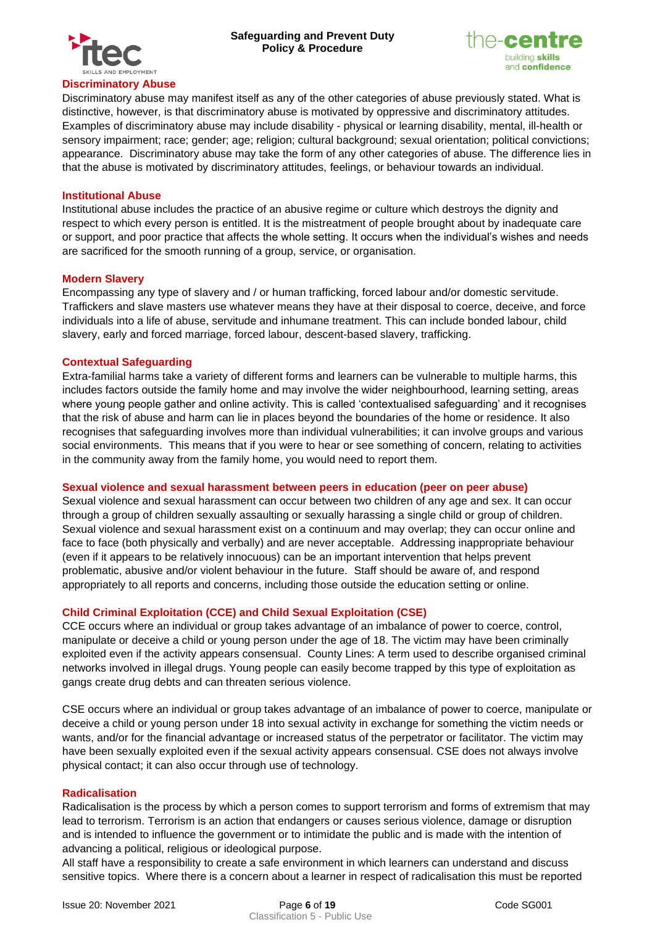



<span id="page-5-0"></span>Discriminatory abuse may manifest itself as any of the other categories of abuse previously stated. What is distinctive, however, is that discriminatory abuse is motivated by oppressive and discriminatory attitudes. Examples of discriminatory abuse may include disability - physical or learning disability, mental, ill-health or sensory impairment; race; gender; age; religion; cultural background; sexual orientation; political convictions; appearance. Discriminatory abuse may take the form of any other categories of abuse. The difference lies in that the abuse is motivated by discriminatory attitudes, feelings, or behaviour towards an individual.

#### <span id="page-5-1"></span>**Institutional Abuse**

Institutional abuse includes the practice of an abusive regime or culture which destroys the dignity and respect to which every person is entitled. It is the mistreatment of people brought about by inadequate care or support, and poor practice that affects the whole setting. It occurs when the individual's wishes and needs are sacrificed for the smooth running of a group, service, or organisation.

#### <span id="page-5-2"></span>**Modern Slavery**

Encompassing any type of slavery and / or human trafficking, forced labour and/or domestic servitude. Traffickers and slave masters use whatever means they have at their disposal to coerce, deceive, and force individuals into a life of abuse, servitude and inhumane treatment. This can include bonded labour, child slavery, early and forced marriage, forced labour, descent-based slavery, trafficking.

#### <span id="page-5-3"></span>**Contextual Safeguarding**

Extra-familial harms take a variety of different forms and learners can be vulnerable to multiple harms, this includes factors outside the family home and may involve the wider neighbourhood, learning setting, areas where young people gather and online activity. This is called 'contextualised safeguarding' and it recognises that the risk of abuse and harm can lie in places beyond the boundaries of the home or residence. It also recognises that safeguarding involves more than individual vulnerabilities; it can involve groups and various social environments. This means that if you were to hear or see something of concern, relating to activities in the community away from the family home, you would need to report them.

#### <span id="page-5-4"></span>**Sexual violence and sexual harassment between peers in education (peer on peer abuse)**

Sexual violence and sexual harassment can occur between two children of any age and sex. It can occur through a group of children sexually assaulting or sexually harassing a single child or group of children. Sexual violence and sexual harassment exist on a continuum and may overlap; they can occur online and face to face (both physically and verbally) and are never acceptable. Addressing inappropriate behaviour (even if it appears to be relatively innocuous) can be an important intervention that helps prevent problematic, abusive and/or violent behaviour in the future. Staff should be aware of, and respond appropriately to all reports and concerns, including those outside the education setting or online.

#### <span id="page-5-5"></span>**Child Criminal Exploitation (CCE) and Child Sexual Exploitation (CSE)**

CCE occurs where an individual or group takes advantage of an imbalance of power to coerce, control, manipulate or deceive a child or young person under the age of 18. The victim may have been criminally exploited even if the activity appears consensual. County Lines: A term used to describe organised criminal networks involved in illegal drugs. Young people can easily become trapped by this type of exploitation as gangs create drug debts and can threaten serious violence.

CSE occurs where an individual or group takes advantage of an imbalance of power to coerce, manipulate or deceive a child or young person under 18 into sexual activity in exchange for something the victim needs or wants, and/or for the financial advantage or increased status of the perpetrator or facilitator. The victim may have been sexually exploited even if the sexual activity appears consensual. CSE does not always involve physical contact; it can also occur through use of technology.

#### <span id="page-5-6"></span>**Radicalisation**

Radicalisation is the process by which a person comes to support terrorism and forms of extremism that may lead to terrorism. Terrorism is an action that endangers or causes serious violence, damage or disruption and is intended to influence the government or to intimidate the public and is made with the intention of advancing a political, religious or ideological purpose.

All staff have a responsibility to create a safe environment in which learners can understand and discuss sensitive topics. Where there is a concern about a learner in respect of radicalisation this must be reported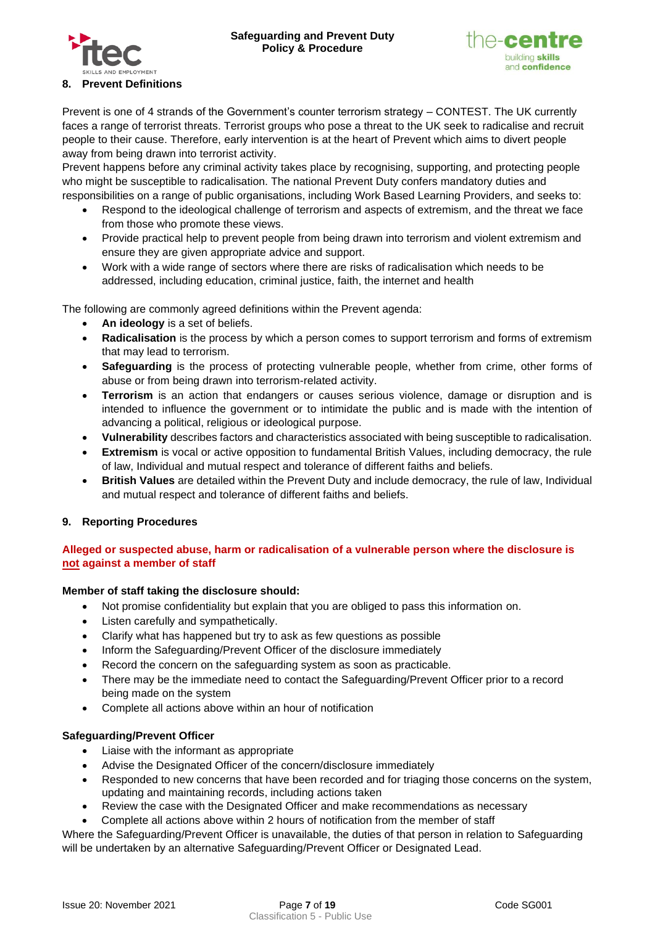



## <span id="page-6-0"></span>**8. Prevent Definitions**

Prevent is one of 4 strands of the Government's counter terrorism strategy – CONTEST. The UK currently faces a range of terrorist threats. Terrorist groups who pose a threat to the UK seek to radicalise and recruit people to their cause. Therefore, early intervention is at the heart of Prevent which aims to divert people away from being drawn into terrorist activity.

Prevent happens before any criminal activity takes place by recognising, supporting, and protecting people who might be susceptible to radicalisation. The national Prevent Duty confers mandatory duties and responsibilities on a range of public organisations, including Work Based Learning Providers, and seeks to:

- Respond to the ideological challenge of terrorism and aspects of extremism, and the threat we face from those who promote these views.
- Provide practical help to prevent people from being drawn into terrorism and violent extremism and ensure they are given appropriate advice and support.
- Work with a wide range of sectors where there are risks of radicalisation which needs to be addressed, including education, criminal justice, faith, the internet and health

The following are commonly agreed definitions within the Prevent agenda:

- **An ideology** is a set of beliefs.
- **Radicalisation** is the process by which a person comes to support terrorism and forms of extremism that may lead to terrorism.
- **Safeguarding** is the process of protecting vulnerable people, whether from crime, other forms of abuse or from being drawn into terrorism-related activity.
- **Terrorism** is an action that endangers or causes serious violence, damage or disruption and is intended to influence the government or to intimidate the public and is made with the intention of advancing a political, religious or ideological purpose.
- **Vulnerability** describes factors and characteristics associated with being susceptible to radicalisation.
- **Extremism** is vocal or active opposition to fundamental British Values, including democracy, the rule of law, Individual and mutual respect and tolerance of different faiths and beliefs.
- **British Values** are detailed within the Prevent Duty and include democracy, the rule of law, Individual and mutual respect and tolerance of different faiths and beliefs.

# <span id="page-6-1"></span>**9. Reporting Procedures**

# <span id="page-6-2"></span>**Alleged or suspected abuse, harm or radicalisation of a vulnerable person where the disclosure is not against a member of staff**

## **Member of staff taking the disclosure should:**

- Not promise confidentiality but explain that you are obliged to pass this information on.
- Listen carefully and sympathetically.
- Clarify what has happened but try to ask as few questions as possible
- Inform the Safeguarding/Prevent Officer of the disclosure immediately
- Record the concern on the safeguarding system as soon as practicable.
- There may be the immediate need to contact the Safeguarding/Prevent Officer prior to a record being made on the system
- Complete all actions above within an hour of notification

## **Safeguarding/Prevent Officer**

- Liaise with the informant as appropriate
- Advise the Designated Officer of the concern/disclosure immediately
- Responded to new concerns that have been recorded and for triaging those concerns on the system, updating and maintaining records, including actions taken
- Review the case with the Designated Officer and make recommendations as necessary
- Complete all actions above within 2 hours of notification from the member of staff

Where the Safeguarding/Prevent Officer is unavailable, the duties of that person in relation to Safeguarding will be undertaken by an alternative Safeguarding/Prevent Officer or Designated Lead.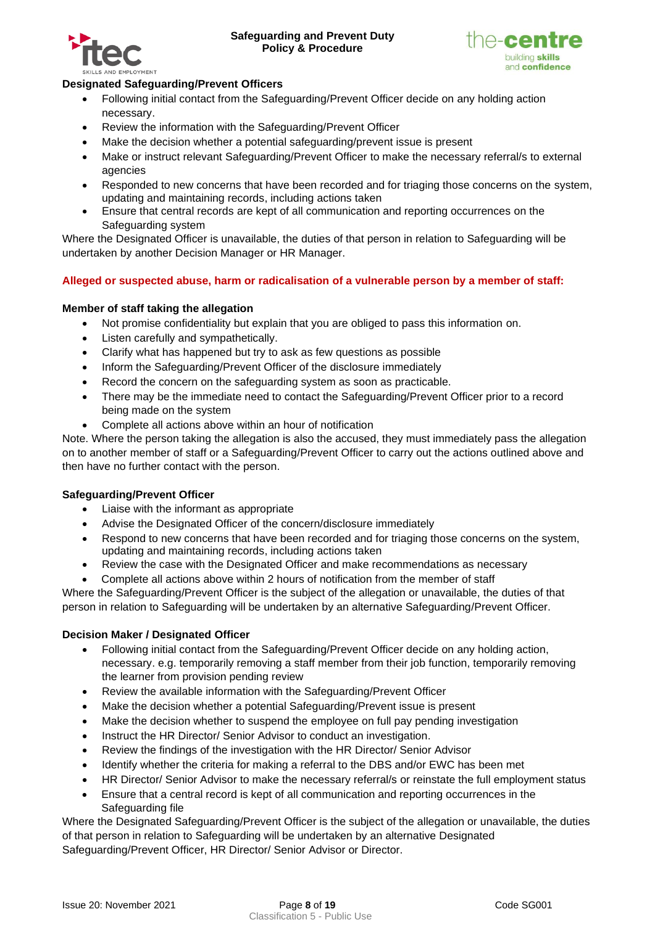



# **Designated Safeguarding/Prevent Officers**

- Following initial contact from the Safeguarding/Prevent Officer decide on any holding action necessary.
- Review the information with the Safeguarding/Prevent Officer
- Make the decision whether a potential safeguarding/prevent issue is present
- Make or instruct relevant Safeguarding/Prevent Officer to make the necessary referral/s to external agencies
- Responded to new concerns that have been recorded and for triaging those concerns on the system, updating and maintaining records, including actions taken
- Ensure that central records are kept of all communication and reporting occurrences on the Safeguarding system

Where the Designated Officer is unavailable, the duties of that person in relation to Safeguarding will be undertaken by another Decision Manager or HR Manager.

# <span id="page-7-0"></span>**Alleged or suspected abuse, harm or radicalisation of a vulnerable person by a member of staff:**

## **Member of staff taking the allegation**

- Not promise confidentiality but explain that you are obliged to pass this information on.
- Listen carefully and sympathetically.
- Clarify what has happened but try to ask as few questions as possible
- Inform the Safeguarding/Prevent Officer of the disclosure immediately
- Record the concern on the safeguarding system as soon as practicable.
- There may be the immediate need to contact the Safeguarding/Prevent Officer prior to a record being made on the system
- Complete all actions above within an hour of notification

Note. Where the person taking the allegation is also the accused, they must immediately pass the allegation on to another member of staff or a Safeguarding/Prevent Officer to carry out the actions outlined above and then have no further contact with the person.

## **Safeguarding/Prevent Officer**

- Liaise with the informant as appropriate
- Advise the Designated Officer of the concern/disclosure immediately
- Respond to new concerns that have been recorded and for triaging those concerns on the system, updating and maintaining records, including actions taken
- Review the case with the Designated Officer and make recommendations as necessary
- Complete all actions above within 2 hours of notification from the member of staff

Where the Safeguarding/Prevent Officer is the subject of the allegation or unavailable, the duties of that person in relation to Safeguarding will be undertaken by an alternative Safeguarding/Prevent Officer.

## **Decision Maker / Designated Officer**

- Following initial contact from the Safeguarding/Prevent Officer decide on any holding action, necessary. e.g. temporarily removing a staff member from their job function, temporarily removing the learner from provision pending review
- Review the available information with the Safeguarding/Prevent Officer
- Make the decision whether a potential Safeguarding/Prevent issue is present
- Make the decision whether to suspend the employee on full pay pending investigation
- Instruct the HR Director/ Senior Advisor to conduct an investigation.
- Review the findings of the investigation with the HR Director/ Senior Advisor
- Identify whether the criteria for making a referral to the DBS and/or EWC has been met
- HR Director/ Senior Advisor to make the necessary referral/s or reinstate the full employment status
- Ensure that a central record is kept of all communication and reporting occurrences in the Safeguarding file

Where the Designated Safeguarding/Prevent Officer is the subject of the allegation or unavailable, the duties of that person in relation to Safeguarding will be undertaken by an alternative Designated Safeguarding/Prevent Officer, HR Director/ Senior Advisor or Director.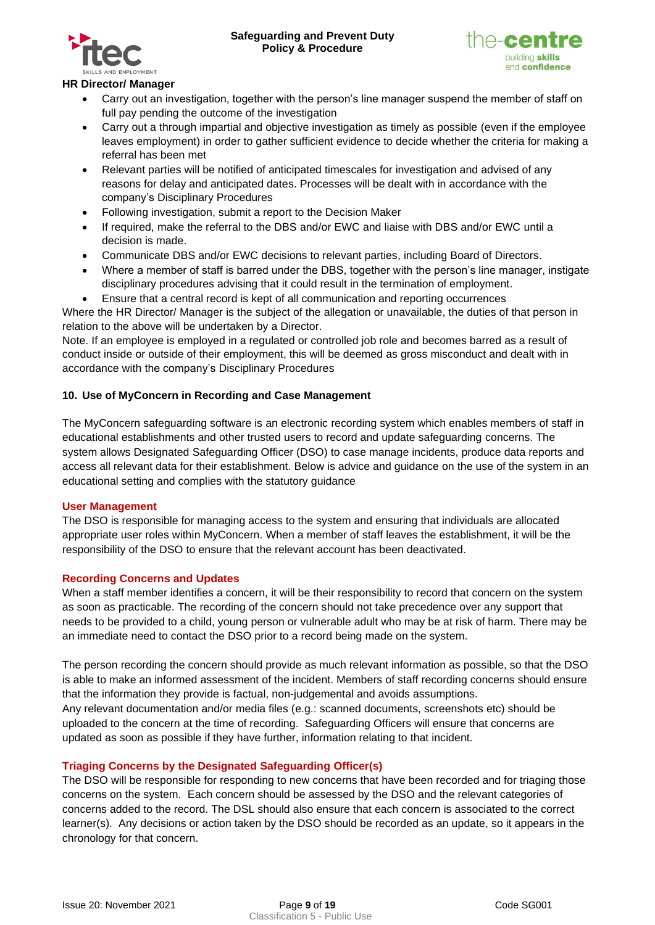



# **HR Director/ Manager**

- Carry out an investigation, together with the person's line manager suspend the member of staff on full pay pending the outcome of the investigation
- Carry out a through impartial and objective investigation as timely as possible (even if the employee leaves employment) in order to gather sufficient evidence to decide whether the criteria for making a referral has been met
- Relevant parties will be notified of anticipated timescales for investigation and advised of any reasons for delay and anticipated dates. Processes will be dealt with in accordance with the company's Disciplinary Procedures
- Following investigation, submit a report to the Decision Maker
- If required, make the referral to the DBS and/or EWC and liaise with DBS and/or EWC until a decision is made.
- Communicate DBS and/or EWC decisions to relevant parties, including Board of Directors.
- Where a member of staff is barred under the DBS, together with the person's line manager, instigate disciplinary procedures advising that it could result in the termination of employment.
- Ensure that a central record is kept of all communication and reporting occurrences

Where the HR Director/ Manager is the subject of the allegation or unavailable, the duties of that person in relation to the above will be undertaken by a Director.

Note. If an employee is employed in a regulated or controlled job role and becomes barred as a result of conduct inside or outside of their employment, this will be deemed as gross misconduct and dealt with in accordance with the company's Disciplinary Procedures

# <span id="page-8-0"></span>**10. Use of MyConcern in Recording and Case Management**

The MyConcern safeguarding software is an electronic recording system which enables members of staff in educational establishments and other trusted users to record and update safeguarding concerns. The system allows Designated Safeguarding Officer (DSO) to case manage incidents, produce data reports and access all relevant data for their establishment. Below is advice and guidance on the use of the system in an educational setting and complies with the statutory guidance

## <span id="page-8-1"></span>**User Management**

The DSO is responsible for managing access to the system and ensuring that individuals are allocated appropriate user roles within MyConcern. When a member of staff leaves the establishment, it will be the responsibility of the DSO to ensure that the relevant account has been deactivated.

## <span id="page-8-2"></span>**Recording Concerns and Updates**

When a staff member identifies a concern, it will be their responsibility to record that concern on the system as soon as practicable. The recording of the concern should not take precedence over any support that needs to be provided to a child, young person or vulnerable adult who may be at risk of harm. There may be an immediate need to contact the DSO prior to a record being made on the system.

The person recording the concern should provide as much relevant information as possible, so that the DSO is able to make an informed assessment of the incident. Members of staff recording concerns should ensure that the information they provide is factual, non-judgemental and avoids assumptions. Any relevant documentation and/or media files (e.g.: scanned documents, screenshots etc) should be uploaded to the concern at the time of recording. Safeguarding Officers will ensure that concerns are

updated as soon as possible if they have further, information relating to that incident.

## <span id="page-8-3"></span>**Triaging Concerns by the Designated Safeguarding Officer(s)**

The DSO will be responsible for responding to new concerns that have been recorded and for triaging those concerns on the system. Each concern should be assessed by the DSO and the relevant categories of concerns added to the record. The DSL should also ensure that each concern is associated to the correct learner(s). Any decisions or action taken by the DSO should be recorded as an update, so it appears in the chronology for that concern.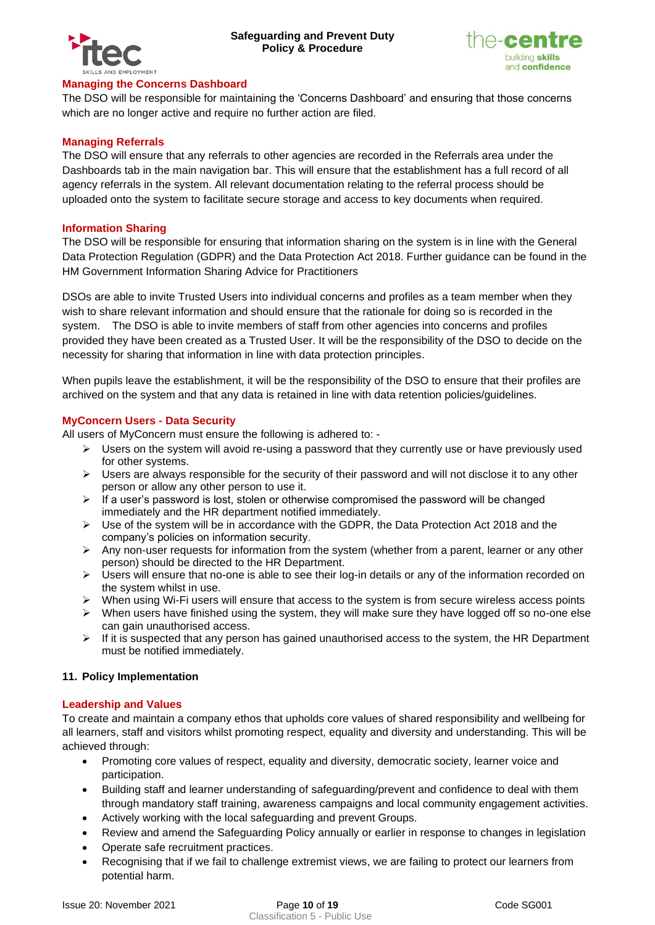



#### <span id="page-9-0"></span>**Managing the Concerns Dashboard**

The DSO will be responsible for maintaining the 'Concerns Dashboard' and ensuring that those concerns which are no longer active and require no further action are filed.

## <span id="page-9-1"></span>**Managing Referrals**

The DSO will ensure that any referrals to other agencies are recorded in the Referrals area under the Dashboards tab in the main navigation bar. This will ensure that the establishment has a full record of all agency referrals in the system. All relevant documentation relating to the referral process should be uploaded onto the system to facilitate secure storage and access to key documents when required.

#### <span id="page-9-2"></span>**Information Sharing**

The DSO will be responsible for ensuring that information sharing on the system is in line with the General Data Protection Regulation (GDPR) and the Data Protection Act 2018. Further guidance can be found in the [HM Government Information Sharing Advice for Practitioners](https://assets.publishing.service.gov.uk/government/uploads/system/uploads/attachment_data/file/721581/Information_sharing_advice_practitioners_safeguarding_services.pdf)

DSOs are able to invite Trusted Users into individual concerns and profiles as a team member when they wish to share relevant information and should ensure that the rationale for doing so is recorded in the system. The DSO is able to invite members of staff from other agencies into concerns and profiles provided they have been created as a Trusted User. It will be the responsibility of the DSO to decide on the necessity for sharing that information in line with data protection principles.

When pupils leave the establishment, it will be the responsibility of the DSO to ensure that their profiles are archived on the system and that any data is retained in line with data retention policies/guidelines.

#### <span id="page-9-3"></span>**MyConcern Users - Data Security**

All users of MyConcern must ensure the following is adhered to: -

- $\triangleright$  Users on the system will avoid re-using a password that they currently use or have previously used for other systems.
- $\triangleright$  Users are always responsible for the security of their password and will not disclose it to any other person or allow any other person to use it.
- $\triangleright$  If a user's password is lost, stolen or otherwise compromised the password will be changed immediately and the HR department notified immediately.
- $\triangleright$  Use of the system will be in accordance with the GDPR, the Data Protection Act 2018 and the company's policies on information security.
- ➢ Any non-user requests for information from the system (whether from a parent, learner or any other person) should be directed to the HR Department.
- ➢ Users will ensure that no-one is able to see their log-in details or any of the information recorded on the system whilst in use.
- $\triangleright$  When using Wi-Fi users will ensure that access to the system is from secure wireless access points
- $\triangleright$  When users have finished using the system, they will make sure they have logged off so no-one else can gain unauthorised access.
- $\triangleright$  If it is suspected that any person has gained unauthorised access to the system, the HR Department must be notified immediately.

## <span id="page-9-4"></span>**11. Policy Implementation**

## <span id="page-9-5"></span>**Leadership and Values**

To create and maintain a company ethos that upholds core values of shared responsibility and wellbeing for all learners, staff and visitors whilst promoting respect, equality and diversity and understanding. This will be achieved through:

- Promoting core values of respect, equality and diversity, democratic society, learner voice and participation.
- Building staff and learner understanding of safeguarding/prevent and confidence to deal with them through mandatory staff training, awareness campaigns and local community engagement activities.
- Actively working with the local safeguarding and prevent Groups.
- Review and amend the Safeguarding Policy annually or earlier in response to changes in legislation
- Operate safe recruitment practices.
- Recognising that if we fail to challenge extremist views, we are failing to protect our learners from potential harm.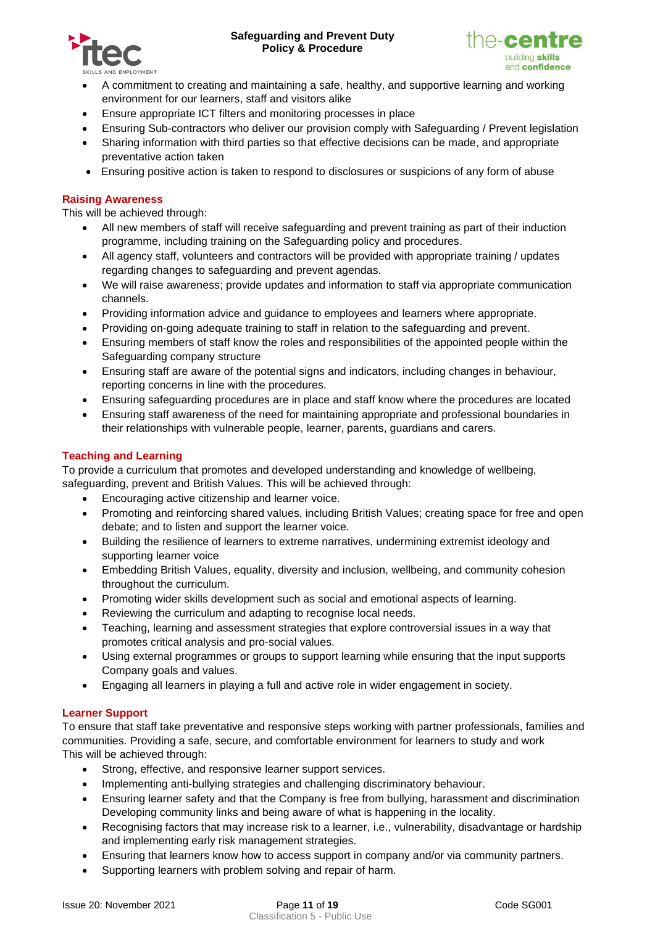



- A commitment to creating and maintaining a safe, healthy, and supportive learning and working environment for our learners, staff and visitors alike
- Ensure appropriate ICT filters and monitoring processes in place
- Ensuring Sub-contractors who deliver our provision comply with Safeguarding / Prevent legislation
- Sharing information with third parties so that effective decisions can be made, and appropriate preventative action taken
- Ensuring positive action is taken to respond to disclosures or suspicions of any form of abuse

## <span id="page-10-0"></span>**Raising Awareness**

This will be achieved through:

- All new members of staff will receive safeguarding and prevent training as part of their induction programme, including training on the Safeguarding policy and procedures.
- All agency staff, volunteers and contractors will be provided with appropriate training / updates regarding changes to safeguarding and prevent agendas.
- We will raise awareness; provide updates and information to staff via appropriate communication channels.
- Providing information advice and guidance to employees and learners where appropriate.
- Providing on-going adequate training to staff in relation to the safeguarding and prevent.
- Ensuring members of staff know the roles and responsibilities of the appointed people within the Safeguarding company structure
- Ensuring staff are aware of the potential signs and indicators, including changes in behaviour, reporting concerns in line with the procedures.
- Ensuring safeguarding procedures are in place and staff know where the procedures are located
- Ensuring staff awareness of the need for maintaining appropriate and professional boundaries in their relationships with vulnerable people, learner, parents, guardians and carers.

## <span id="page-10-1"></span>**Teaching and Learning**

To provide a curriculum that promotes and developed understanding and knowledge of wellbeing, safeguarding, prevent and British Values. This will be achieved through:

- Encouraging active citizenship and learner voice.
- Promoting and reinforcing shared values, including British Values; creating space for free and open debate; and to listen and support the learner voice.
- Building the resilience of learners to extreme narratives, undermining extremist ideology and supporting learner voice
- Embedding British Values, equality, diversity and inclusion, wellbeing, and community cohesion throughout the curriculum.
- Promoting wider skills development such as social and emotional aspects of learning.
- Reviewing the curriculum and adapting to recognise local needs.
- Teaching, learning and assessment strategies that explore controversial issues in a way that promotes critical analysis and pro-social values.
- Using external programmes or groups to support learning while ensuring that the input supports Company goals and values.
- Engaging all learners in playing a full and active role in wider engagement in society.

# <span id="page-10-2"></span>**Learner Support**

To ensure that staff take preventative and responsive steps working with partner professionals, families and communities. Providing a safe, secure, and comfortable environment for learners to study and work This will be achieved through:

- Strong, effective, and responsive learner support services.
- Implementing anti-bullying strategies and challenging discriminatory behaviour.
- Ensuring learner safety and that the Company is free from bullying, harassment and discrimination Developing community links and being aware of what is happening in the locality.
- Recognising factors that may increase risk to a learner, i.e., vulnerability, disadvantage or hardship and implementing early risk management strategies.
- Ensuring that learners know how to access support in company and/or via community partners.
- Supporting learners with problem solving and repair of harm.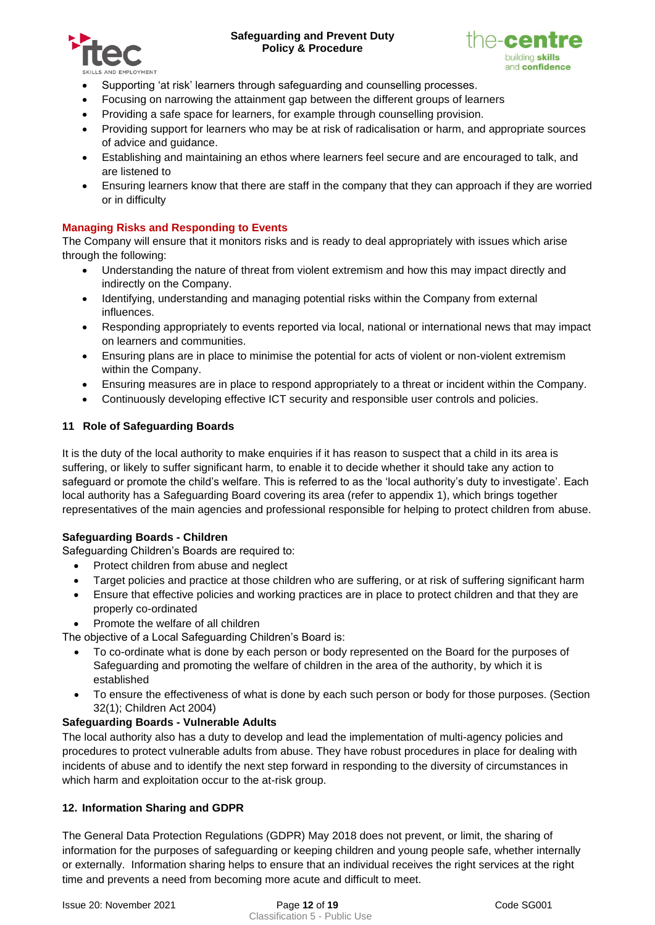



- Supporting 'at risk' learners through safeguarding and counselling processes.
- Focusing on narrowing the attainment gap between the different groups of learners
- Providing a safe space for learners, for example through counselling provision.
- Providing support for learners who may be at risk of radicalisation or harm, and appropriate sources of advice and guidance.
- Establishing and maintaining an ethos where learners feel secure and are encouraged to talk, and are listened to
- Ensuring learners know that there are staff in the company that they can approach if they are worried or in difficulty

## <span id="page-11-0"></span>**Managing Risks and Responding to Events**

The Company will ensure that it monitors risks and is ready to deal appropriately with issues which arise through the following:

- Understanding the nature of threat from violent extremism and how this may impact directly and indirectly on the Company.
- Identifying, understanding and managing potential risks within the Company from external influences.
- Responding appropriately to events reported via local, national or international news that may impact on learners and communities.
- Ensuring plans are in place to minimise the potential for acts of violent or non-violent extremism within the Company.
- Ensuring measures are in place to respond appropriately to a threat or incident within the Company.
- Continuously developing effective ICT security and responsible user controls and policies.

# <span id="page-11-1"></span>**11 Role of Safeguarding Boards**

It is the duty of the local authority to make enquiries if it has reason to suspect that a child in its area is suffering, or likely to suffer significant harm, to enable it to decide whether it should take any action to safeguard or promote the child's welfare. This is referred to as the 'local authority's duty to investigate'. Each local authority has a Safeguarding Board covering its area (refer to appendix 1), which brings together representatives of the main agencies and professional responsible for helping to protect children from abuse.

## **Safeguarding Boards - Children**

Safeguarding Children's Boards are required to:

- Protect children from abuse and neglect
- Target policies and practice at those children who are suffering, or at risk of suffering significant harm
- Ensure that effective policies and working practices are in place to protect children and that they are properly co-ordinated
- Promote the welfare of all children

The objective of a Local Safeguarding Children's Board is:

- To co-ordinate what is done by each person or body represented on the Board for the purposes of Safeguarding and promoting the welfare of children in the area of the authority, by which it is established
- To ensure the effectiveness of what is done by each such person or body for those purposes. (Section 32(1); Children Act 2004)

# **Safeguarding Boards - Vulnerable Adults**

The local authority also has a duty to develop and lead the implementation of multi-agency policies and procedures to protect vulnerable adults from abuse. They have robust procedures in place for dealing with incidents of abuse and to identify the next step forward in responding to the diversity of circumstances in which harm and exploitation occur to the at-risk group.

## <span id="page-11-2"></span>**12. Information Sharing and GDPR**

The General Data Protection Regulations (GDPR) May 2018 does not prevent, or limit, the sharing of information for the purposes of safeguarding or keeping children and young people safe, whether internally or externally. Information sharing helps to ensure that an individual receives the right services at the right time and prevents a need from becoming more acute and difficult to meet.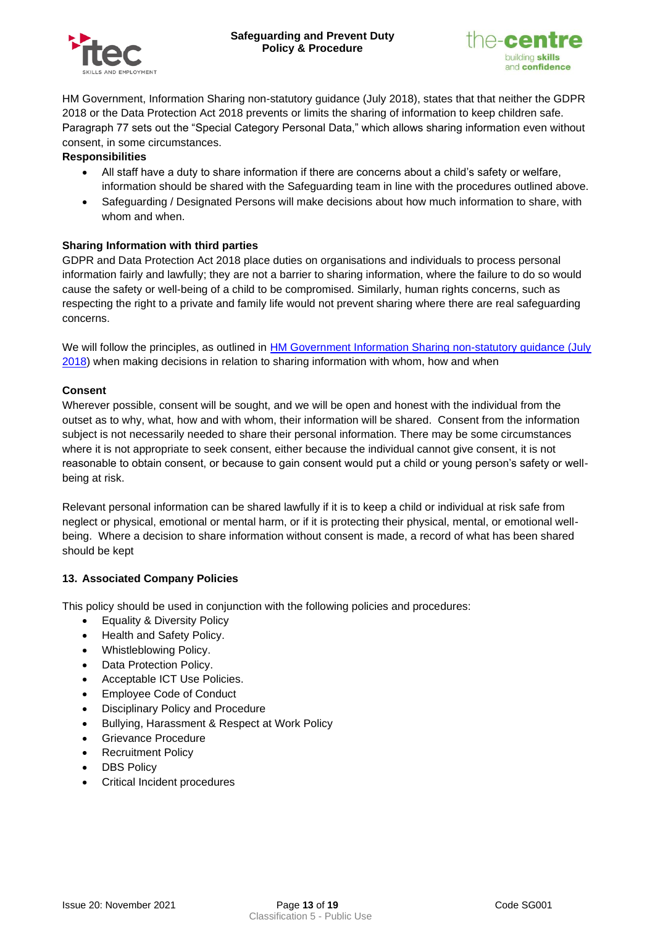



HM Government, Information Sharing non-statutory guidance (July 2018), states that that neither the GDPR 2018 or the Data Protection Act 2018 prevents or limits the sharing of information to keep children safe. Paragraph 77 sets out the "Special Category Personal Data," which allows sharing information even without consent, in some circumstances.

#### **Responsibilities**

- All staff have a duty to share information if there are concerns about a child's safety or welfare, information should be shared with the Safeguarding team in line with the procedures outlined above.
- Safeguarding / Designated Persons will make decisions about how much information to share, with whom and when.

## **Sharing Information with third parties**

GDPR and Data Protection Act 2018 place duties on organisations and individuals to process personal information fairly and lawfully; they are not a barrier to sharing information, where the failure to do so would cause the safety or well-being of a child to be compromised. Similarly, human rights concerns, such as respecting the right to a private and family life would not prevent sharing where there are real safeguarding concerns.

We will follow the principles, as outlined in HM Government Information Sharing non-statutory guidance (July [2018\)](https://assets.publishing.service.gov.uk/government/uploads/system/uploads/attachment_data/file/721581/Information_sharing_advice_practitioners_safeguarding_services.pdf) when making decisions in relation to sharing information with whom, how and when

#### **Consent**

Wherever possible, consent will be sought, and we will be open and honest with the individual from the outset as to why, what, how and with whom, their information will be shared. Consent from the information subject is not necessarily needed to share their personal information. There may be some circumstances where it is not appropriate to seek consent, either because the individual cannot give consent, it is not reasonable to obtain consent, or because to gain consent would put a child or young person's safety or wellbeing at risk.

Relevant personal information can be shared lawfully if it is to keep a child or individual at risk safe from neglect or physical, emotional or mental harm, or if it is protecting their physical, mental, or emotional wellbeing. Where a decision to share information without consent is made, a record of what has been shared should be kept

## <span id="page-12-0"></span>**13. Associated Company Policies**

This policy should be used in conjunction with the following policies and procedures:

- Equality & Diversity Policy
- Health and Safety Policy.
- Whistleblowing Policy.
- Data Protection Policy.
- Acceptable ICT Use Policies.
- Employee Code of Conduct
- Disciplinary Policy and Procedure
- Bullying, Harassment & Respect at Work Policy
- Grievance Procedure
- **Recruitment Policy**
- DBS Policy
- Critical Incident procedures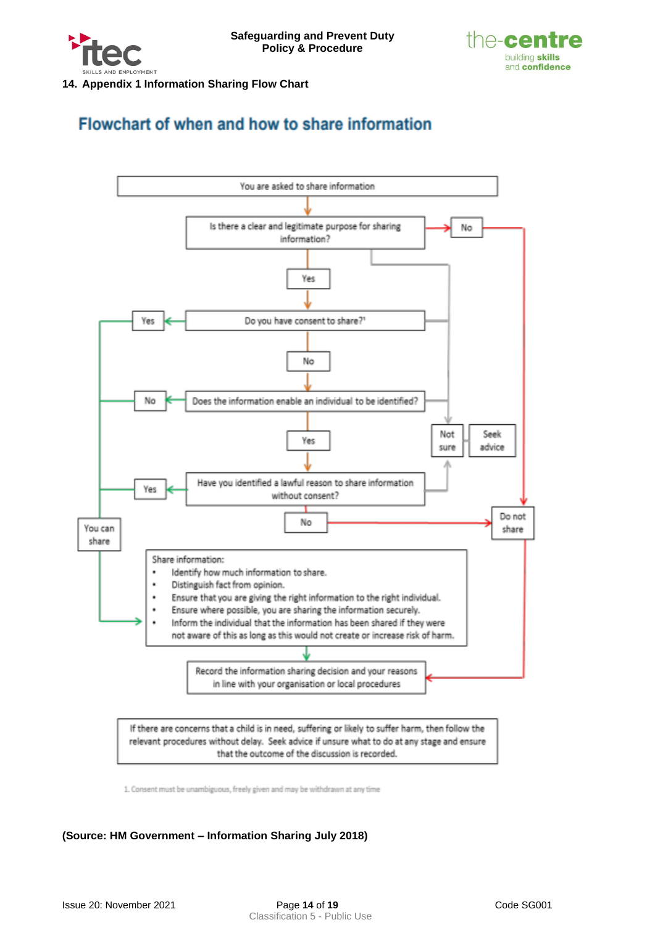



<span id="page-13-0"></span>**14. Appendix 1 Information Sharing Flow Chart** 

# Flowchart of when and how to share information



1. Consent must be unambiguous, freely given and may be withdrawn at any time

# **(Source: HM Government – Information Sharing July 2018)**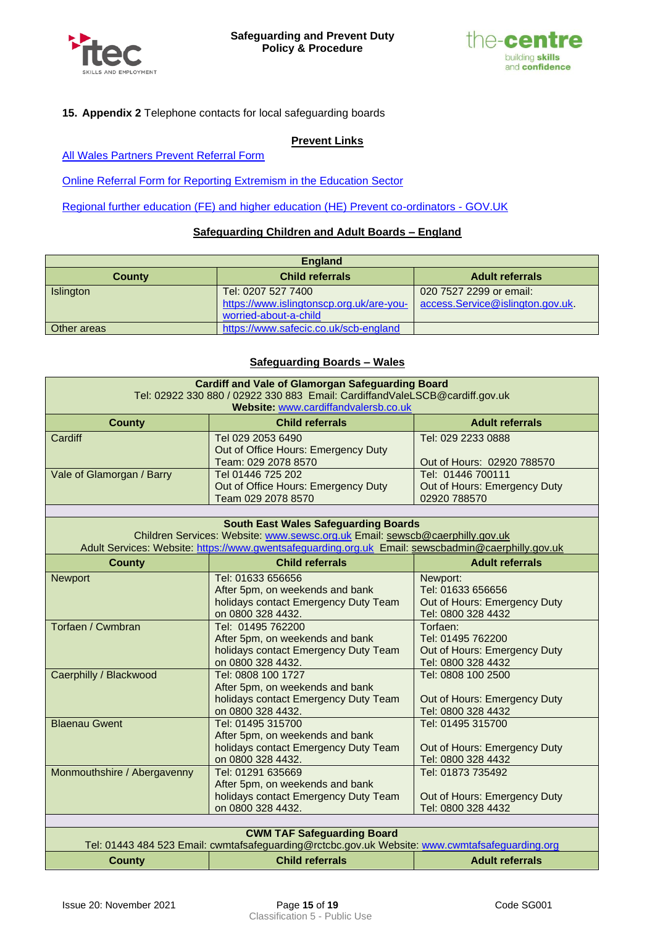



## <span id="page-14-0"></span>**15. Appendix 2** Telephone contacts for local safeguarding boards

#### **Prevent Links**

**[All Wales Partners Prevent Referral Form](https://emea01.safelinks.protection.outlook.com/?url=https%3A%2F%2Fdigitalservices.south-wales.police.uk%2Fen%2Fall-wales-prevent-partners-referral-form%2F&data=02%7C01%7CKGenesi%40cavc.ac.uk%7Cb12ce6a61a0b412f9c9508d6a715be41%7Cd5d586ea574a42d096c9cc1b0896f478%7C0%7C0%7C636880109178699376&sdata=Qm0a%2BtSwbz8gP5s%2BGf9OqXbM8pzvxqTVXvKc87VNOcY%3D&reserved=0)** 

[Online Referral Form for Reporting Extremism in the Education Sector](https://report-extremism.education.gov.uk/)

[Regional further education \(FE\) and higher education \(HE\) Prevent co-ordinators -](https://www.gov.uk/guidance/regional-further-education-fe-and-higher-education-he-prevent-coordinators) GOV.UK

#### **Safeguarding Children and Adult Boards – England**

| <b>England</b> |                                          |                                  |
|----------------|------------------------------------------|----------------------------------|
| <b>County</b>  | <b>Child referrals</b>                   | <b>Adult referrals</b>           |
| Islington      | Tel: 0207 527 7400                       | 020 7527 2299 or email:          |
|                | https://www.islingtonscp.org.uk/are-you- | access.Service@islington.gov.uk. |
|                | worried-about-a-child                    |                                  |
| Other areas    | https://www.safecic.co.uk/scb-england    |                                  |

#### **Safeguarding Boards – Wales**

| <b>Cardiff and Vale of Glamorgan Safeguarding Board</b>                                                                             |                                                                                                                             |                                                    |  |  |
|-------------------------------------------------------------------------------------------------------------------------------------|-----------------------------------------------------------------------------------------------------------------------------|----------------------------------------------------|--|--|
| Tel: 02922 330 880 / 02922 330 883 Email: CardiffandValeLSCB@cardiff.gov.uk                                                         |                                                                                                                             |                                                    |  |  |
|                                                                                                                                     | Website: www.cardiffandvalersb.co.uk                                                                                        |                                                    |  |  |
| <b>County</b>                                                                                                                       | <b>Child referrals</b>                                                                                                      | <b>Adult referrals</b>                             |  |  |
| Cardiff                                                                                                                             | Tel 029 2053 6490                                                                                                           | Tel: 029 2233 0888                                 |  |  |
|                                                                                                                                     | Out of Office Hours: Emergency Duty                                                                                         |                                                    |  |  |
|                                                                                                                                     | Team: 029 2078 8570                                                                                                         | Out of Hours: 02920 788570                         |  |  |
| Vale of Glamorgan / Barry                                                                                                           | Tel 01446 725 202                                                                                                           | Tel: 01446 700111                                  |  |  |
|                                                                                                                                     | Out of Office Hours: Emergency Duty                                                                                         | Out of Hours: Emergency Duty                       |  |  |
|                                                                                                                                     | Team 029 2078 8570                                                                                                          | 02920 788570                                       |  |  |
|                                                                                                                                     |                                                                                                                             |                                                    |  |  |
|                                                                                                                                     | <b>South East Wales Safeguarding Boards</b><br>Children Services: Website: www.sewsc.org.uk Email: sewscb@caerphilly.gov.uk |                                                    |  |  |
|                                                                                                                                     | Adult Services: Website: https://www.gwentsafeguarding.org.uk Email: sewscbadmin@caerphilly.gov.uk                          |                                                    |  |  |
|                                                                                                                                     | <b>Child referrals</b>                                                                                                      | <b>Adult referrals</b>                             |  |  |
| <b>County</b>                                                                                                                       |                                                                                                                             |                                                    |  |  |
| <b>Newport</b>                                                                                                                      | Tel: 01633 656656                                                                                                           | Newport:                                           |  |  |
|                                                                                                                                     | After 5pm, on weekends and bank                                                                                             | Tel: 01633 656656                                  |  |  |
|                                                                                                                                     | holidays contact Emergency Duty Team                                                                                        | Out of Hours: Emergency Duty                       |  |  |
| Torfaen / Cwmbran                                                                                                                   | on 0800 328 4432.                                                                                                           | Tel: 0800 328 4432                                 |  |  |
|                                                                                                                                     | Tel: 01495 762200                                                                                                           | Torfaen:<br>Tel: 01495 762200                      |  |  |
|                                                                                                                                     | After 5pm, on weekends and bank                                                                                             |                                                    |  |  |
|                                                                                                                                     | holidays contact Emergency Duty Team<br>on 0800 328 4432.                                                                   | Out of Hours: Emergency Duty<br>Tel: 0800 328 4432 |  |  |
| Caerphilly / Blackwood                                                                                                              | Tel: 0808 100 1727                                                                                                          | Tel: 0808 100 2500                                 |  |  |
|                                                                                                                                     | After 5pm, on weekends and bank                                                                                             |                                                    |  |  |
|                                                                                                                                     | holidays contact Emergency Duty Team                                                                                        | Out of Hours: Emergency Duty                       |  |  |
|                                                                                                                                     | on 0800 328 4432.                                                                                                           | Tel: 0800 328 4432                                 |  |  |
| <b>Blaenau Gwent</b>                                                                                                                | Tel: 01495 315700                                                                                                           | Tel: 01495 315700                                  |  |  |
|                                                                                                                                     | After 5pm, on weekends and bank                                                                                             |                                                    |  |  |
|                                                                                                                                     | holidays contact Emergency Duty Team                                                                                        | Out of Hours: Emergency Duty                       |  |  |
|                                                                                                                                     | on 0800 328 4432.                                                                                                           | Tel: 0800 328 4432                                 |  |  |
| Monmouthshire / Abergavenny                                                                                                         | Tel: 01291 635669                                                                                                           | Tel: 01873 735492                                  |  |  |
|                                                                                                                                     | After 5pm, on weekends and bank                                                                                             |                                                    |  |  |
|                                                                                                                                     | holidays contact Emergency Duty Team                                                                                        | Out of Hours: Emergency Duty                       |  |  |
|                                                                                                                                     | on 0800 328 4432.                                                                                                           | Tel: 0800 328 4432                                 |  |  |
|                                                                                                                                     |                                                                                                                             |                                                    |  |  |
| <b>CWM TAF Safeguarding Board</b><br>Tel: 01443 484 523 Email: cwmtafsafeguarding@rctcbc.gov.uk Website: www.cwmtafsafeguarding.org |                                                                                                                             |                                                    |  |  |
| <b>County</b>                                                                                                                       | <b>Child referrals</b>                                                                                                      | <b>Adult referrals</b>                             |  |  |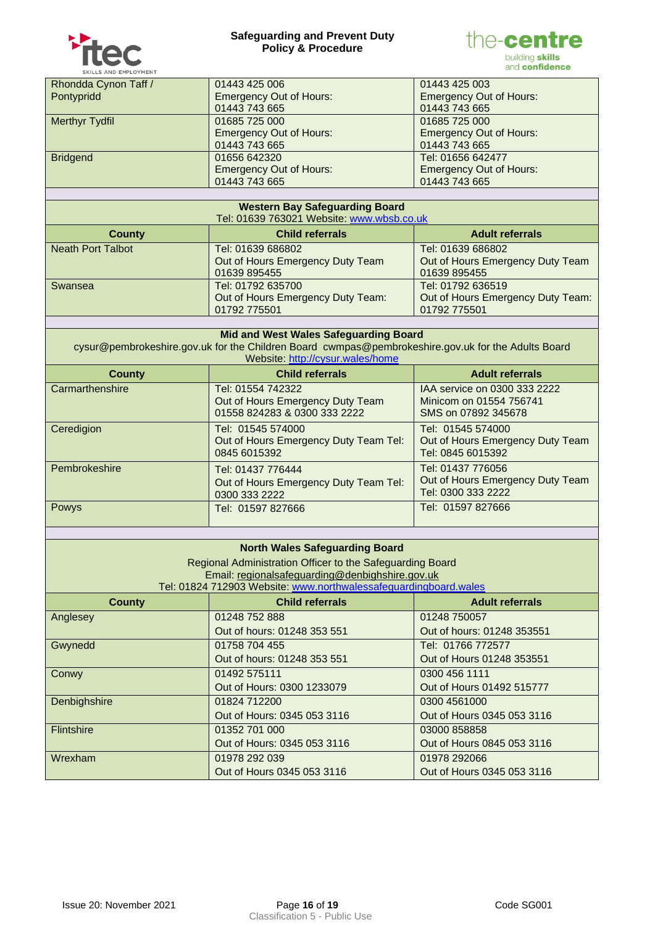



| SKILLS AND EMPLOYMENT |                                |                                |
|-----------------------|--------------------------------|--------------------------------|
| Rhondda Cynon Taff /  | 01443 425 006                  | 01443 425 003                  |
| Pontypridd            | <b>Emergency Out of Hours:</b> | <b>Emergency Out of Hours:</b> |
|                       | 01443 743 665                  | 01443 743 665                  |
| <b>Merthyr Tydfil</b> | 01685 725 000                  | 01685 725 000                  |
|                       | <b>Emergency Out of Hours:</b> | <b>Emergency Out of Hours:</b> |
|                       | 01443 743 665                  | 01443 743 665                  |
| <b>Bridgend</b>       | 01656 642320                   | Tel: 01656 642477              |
|                       | <b>Emergency Out of Hours:</b> | <b>Emergency Out of Hours:</b> |
|                       | 01443 743 665                  | 01443 743 665                  |

| <b>Western Bay Safeguarding Board</b><br>Tel: 01639 763021 Website: www.wbsb.co.uk |                                                                        |                                                                        |  |
|------------------------------------------------------------------------------------|------------------------------------------------------------------------|------------------------------------------------------------------------|--|
| <b>County</b>                                                                      | <b>Child referrals</b>                                                 | <b>Adult referrals</b>                                                 |  |
| <b>Neath Port Talbot</b>                                                           | Tel: 01639 686802<br>Out of Hours Emergency Duty Team<br>01639 895455  | Tel: 01639 686802<br>Out of Hours Emergency Duty Team<br>01639 895455  |  |
| Swansea                                                                            | Tel: 01792 635700<br>Out of Hours Emergency Duty Team:<br>01792 775501 | Tel: 01792 636519<br>Out of Hours Emergency Duty Team:<br>01792 775501 |  |

| <b>Mid and West Wales Safeguarding Board</b><br>cysur@pembrokeshire.gov.uk for the Children Board cwmpas@pembrokeshire.gov.uk for the Adults Board<br>Website: http://cysur.wales/home |                                                                                       |                                                                                |  |
|----------------------------------------------------------------------------------------------------------------------------------------------------------------------------------------|---------------------------------------------------------------------------------------|--------------------------------------------------------------------------------|--|
| <b>County</b>                                                                                                                                                                          | <b>Child referrals</b>                                                                | <b>Adult referrals</b>                                                         |  |
| Carmarthenshire                                                                                                                                                                        | Tel: 01554 742322<br>Out of Hours Emergency Duty Team<br>01558 824283 & 0300 333 2222 | IAA service on 0300 333 2222<br>Minicom on 01554 756741<br>SMS on 07892 345678 |  |
| Ceredigion                                                                                                                                                                             | Tel: 01545 574000<br>Out of Hours Emergency Duty Team Tel:<br>0845 6015392            | Tel: 01545 574000<br>Out of Hours Emergency Duty Team<br>Tel: 0845 6015392     |  |
| Pembrokeshire                                                                                                                                                                          | Tel: 01437 776444<br>Out of Hours Emergency Duty Team Tel:<br>0300 333 2222           | Tel: 01437 776056<br>Out of Hours Emergency Duty Team<br>Tel: 0300 333 2222    |  |
| Powys                                                                                                                                                                                  | Tel: 01597 827666                                                                     | Tel: 01597 827666                                                              |  |

# **North Wales Safeguarding Board**

| Regional Administration Officer to the Safeguarding Board        |  |
|------------------------------------------------------------------|--|
| Email: regionalsafeguarding@denbighshire.gov.uk                  |  |
| Tel: 01824 712903 Website: www.northwalessafeguardingboard.wales |  |

| <b>County</b>     | <b>Child referrals</b>      | <b>Adult referrals</b>     |
|-------------------|-----------------------------|----------------------------|
| Anglesey          | 01248 752 888               | 01248 750057               |
|                   | Out of hours: 01248 353 551 | Out of hours: 01248 353551 |
| Gwynedd           | 01758 704 455               | Tel: 01766 772577          |
|                   | Out of hours: 01248 353 551 | Out of Hours 01248 353551  |
| Conwy             | 01492 575111                | 0300 456 1111              |
|                   | Out of Hours: 0300 1233079  | Out of Hours 01492 515777  |
| Denbighshire      | 01824 712200                | 0300 4561000               |
|                   | Out of Hours: 0345 053 3116 | Out of Hours 0345 053 3116 |
| <b>Flintshire</b> | 01352 701 000               | 03000 858858               |
|                   | Out of Hours: 0345 053 3116 | Out of Hours 0845 053 3116 |
| Wrexham           | 01978 292 039               | 01978 292066               |
|                   | Out of Hours 0345 053 3116  | Out of Hours 0345 053 3116 |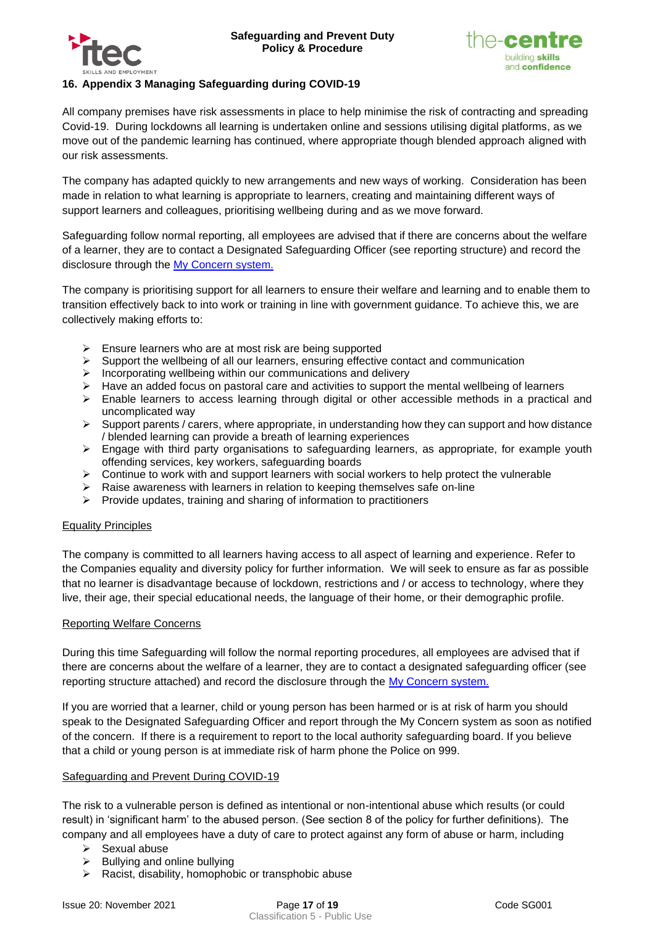



# <span id="page-16-0"></span>**16. Appendix 3 Managing Safeguarding during COVID-19**

All company premises have risk assessments in place to help minimise the risk of contracting and spreading Covid-19. During lockdowns all learning is undertaken online and sessions utilising digital platforms, as we move out of the pandemic learning has continued, where appropriate though blended approach aligned with our risk assessments.

The company has adapted quickly to new arrangements and new ways of working. Consideration has been made in relation to what learning is appropriate to learners, creating and maintaining different ways of support learners and colleagues, prioritising wellbeing during and as we move forward.

Safeguarding follow normal reporting, all employees are advised that if there are concerns about the welfare of a learner, they are to contact a Designated Safeguarding Officer (see reporting structure) and record the disclosure through the [My Concern system.](https://www.myconcern.education/Account/Login?ReturnUrl=%2f)

The company is prioritising support for all learners to ensure their welfare and learning and to enable them to transition effectively back to into work or training in line with government guidance. To achieve this, we are collectively making efforts to:

- $\triangleright$  Ensure learners who are at most risk are being supported
- $\triangleright$  Support the wellbeing of all our learners, ensuring effective contact and communication
- ➢ Incorporating wellbeing within our communications and delivery
- $\triangleright$  Have an added focus on pastoral care and activities to support the mental wellbeing of learners
- ➢ Enable learners to access learning through digital or other accessible methods in a practical and uncomplicated way
- $\triangleright$  Support parents / carers, where appropriate, in understanding how they can support and how distance / blended learning can provide a breath of learning experiences
- ➢ Engage with third party organisations to safeguarding learners, as appropriate, for example youth offending services, key workers, safeguarding boards
- $\triangleright$  Continue to work with and support learners with social workers to help protect the vulnerable
- ➢ Raise awareness with learners in relation to keeping themselves safe on-line
- ➢ Provide updates, training and sharing of information to practitioners

#### Equality Principles

The company is committed to all learners having access to all aspect of learning and experience. Refer to the Companies equality and diversity policy for further information. We will seek to ensure as far as possible that no learner is disadvantage because of lockdown, restrictions and / or access to technology, where they live, their age, their special educational needs, the language of their home, or their demographic profile.

#### Reporting Welfare Concerns

During this time Safeguarding will follow the normal reporting procedures, all employees are advised that if there are concerns about the welfare of a learner, they are to contact a designated safeguarding officer (see reporting structure attached) and record the disclosure through the [My Concern system.](https://www.myconcern.education/Account/Login?ReturnUrl=%2f)

If you are worried that a learner, child or young person has been harmed or is at risk of harm you should speak to the Designated Safeguarding Officer and report through the My Concern system as soon as notified of the concern. If there is a requirement to report to the local authority safeguarding board. If you believe that a child or young person is at immediate risk of harm phone the Police on 999.

#### Safeguarding and Prevent During COVID-19

The risk to a vulnerable person is defined as intentional or non-intentional abuse which results (or could result) in 'significant harm' to the abused person. (See section 8 of the policy for further definitions). The company and all employees have a duty of care to protect against any form of abuse or harm, including

- ➢ Sexual abuse
- $\triangleright$  Bullying and online bullying
- ➢ Racist, disability, homophobic or transphobic abuse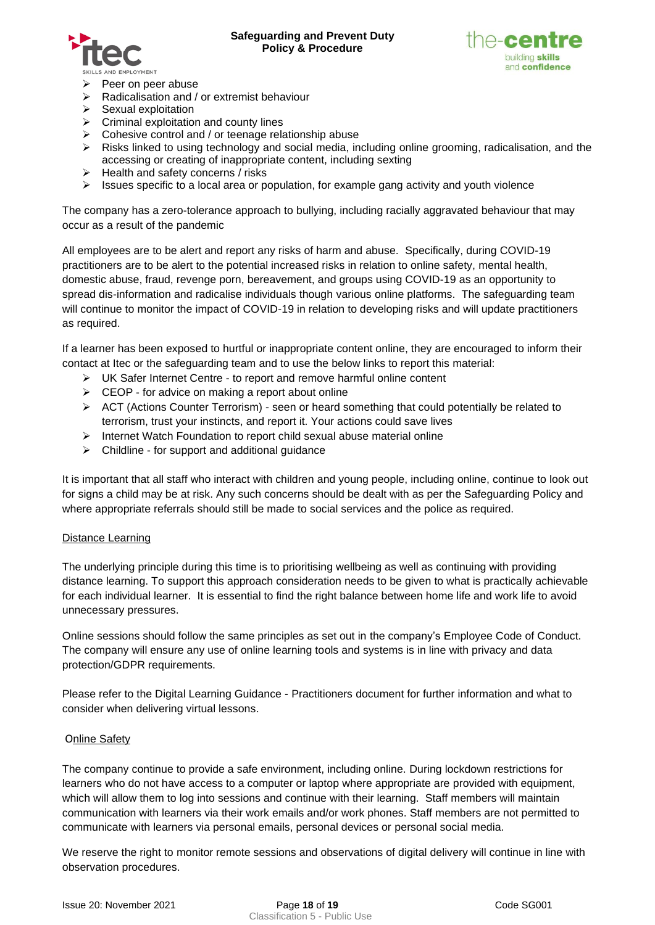



- ➢ Peer on peer abuse
- ➢ Radicalisation and / or extremist behaviour
- $\triangleright$  Sexual exploitation
- $\triangleright$  Criminal exploitation and county lines
- $\triangleright$  Cohesive control and / or teenage relationship abuse
- $\triangleright$  Risks linked to using technology and social media, including online grooming, radicalisation, and the accessing or creating of inappropriate content, including sexting
- ➢ Health and safety concerns / risks
- $\triangleright$  Issues specific to a local area or population, for example gang activity and youth violence

The company has a zero-tolerance approach to bullying, including racially aggravated behaviour that may occur as a result of the pandemic

All employees are to be alert and report any risks of harm and abuse. Specifically, during COVID-19 practitioners are to be alert to the potential increased risks in relation to online safety, mental health, domestic abuse, fraud, revenge porn, bereavement, and groups using COVID-19 as an opportunity to spread dis-information and radicalise individuals though various online platforms. The safeguarding team will continue to monitor the impact of COVID-19 in relation to developing risks and will update practitioners as required.

If a learner has been exposed to hurtful or inappropriate content online, they are encouraged to inform their contact at Itec or the safeguarding team and to use the below links to report this material:

- ➢ UK Safer Internet Centre to report and remove harmful online content
- ➢ CEOP for advice on making a report about online
- $\triangleright$  ACT (Actions Counter Terrorism) seen or heard something that could potentially be related to terrorism, trust your instincts, and report it. Your actions could save lives
- ➢ Internet Watch Foundation to report child sexual abuse material online
- ➢ Childline for support and additional guidance

It is important that all staff who interact with children and young people, including online, continue to look out for signs a child may be at risk. Any such concerns should be dealt with as per the Safeguarding Policy and where appropriate referrals should still be made to social services and the police as required.

#### Distance Learning

The underlying principle during this time is to prioritising wellbeing as well as continuing with providing distance learning. To support this approach consideration needs to be given to what is practically achievable for each individual learner. It is essential to find the right balance between home life and work life to avoid unnecessary pressures.

Online sessions should follow the same principles as set out in the company's Employee Code of Conduct. The company will ensure any use of online learning tools and systems is in line with privacy and data protection/GDPR requirements.

Please refer to the Digital Learning Guidance - Practitioners document for further information and what to consider when delivering virtual lessons.

## **Online Safety**

The company continue to provide a safe environment, including online. During lockdown restrictions for learners who do not have access to a computer or laptop where appropriate are provided with equipment, which will allow them to log into sessions and continue with their learning. Staff members will maintain communication with learners via their work emails and/or work phones. Staff members are not permitted to communicate with learners via personal emails, personal devices or personal social media.

We reserve the right to monitor remote sessions and observations of digital delivery will continue in line with observation procedures.